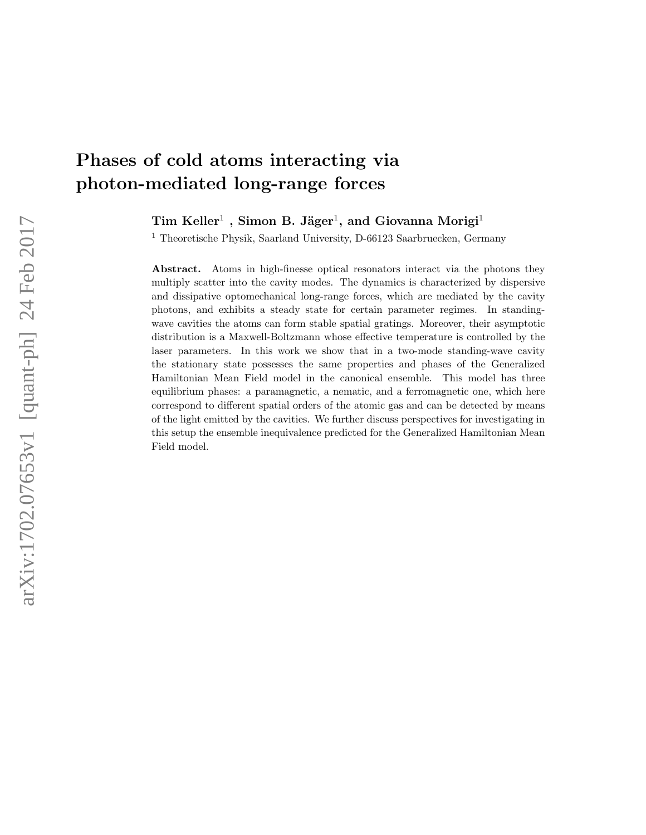# Phases of cold atoms interacting via photon-mediated long-range forces

 $\operatorname{Tim}\, \mathrm{Keller^1}\ ,\ \mathrm{Simon}\ \mathrm{B}.\ \mathrm{Jäger^1}\ ,$  and  $\mathrm{Giovanna}\ \mathrm{Morigi^1}\ .$ 

<sup>1</sup> Theoretische Physik, Saarland University, D-66123 Saarbruecken, Germany

Abstract. Atoms in high-finesse optical resonators interact via the photons they multiply scatter into the cavity modes. The dynamics is characterized by dispersive and dissipative optomechanical long-range forces, which are mediated by the cavity photons, and exhibits a steady state for certain parameter regimes. In standingwave cavities the atoms can form stable spatial gratings. Moreover, their asymptotic distribution is a Maxwell-Boltzmann whose effective temperature is controlled by the laser parameters. In this work we show that in a two-mode standing-wave cavity the stationary state possesses the same properties and phases of the Generalized Hamiltonian Mean Field model in the canonical ensemble. This model has three equilibrium phases: a paramagnetic, a nematic, and a ferromagnetic one, which here correspond to different spatial orders of the atomic gas and can be detected by means of the light emitted by the cavities. We further discuss perspectives for investigating in this setup the ensemble inequivalence predicted for the Generalized Hamiltonian Mean Field model.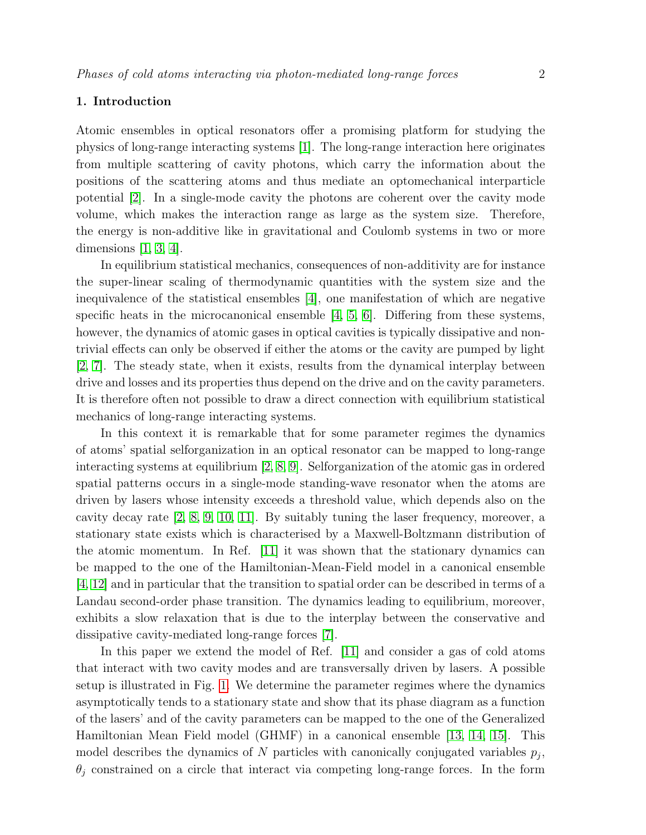# 1. Introduction

Atomic ensembles in optical resonators offer a promising platform for studying the physics of long-range interacting systems [\[1\]](#page-11-0). The long-range interaction here originates from multiple scattering of cavity photons, which carry the information about the positions of the scattering atoms and thus mediate an optomechanical interparticle potential [\[2\]](#page-11-1). In a single-mode cavity the photons are coherent over the cavity mode volume, which makes the interaction range as large as the system size. Therefore, the energy is non-additive like in gravitational and Coulomb systems in two or more dimensions  $[1, 3, 4]$  $[1, 3, 4]$  $[1, 3, 4]$ .

In equilibrium statistical mechanics, consequences of non-additivity are for instance the super-linear scaling of thermodynamic quantities with the system size and the inequivalence of the statistical ensembles [\[4\]](#page-11-3), one manifestation of which are negative specific heats in the microcanonical ensemble  $[4, 5, 6]$  $[4, 5, 6]$  $[4, 5, 6]$ . Differing from these systems, however, the dynamics of atomic gases in optical cavities is typically dissipative and nontrivial effects can only be observed if either the atoms or the cavity are pumped by light [\[2,](#page-11-1) [7\]](#page-11-6). The steady state, when it exists, results from the dynamical interplay between drive and losses and its properties thus depend on the drive and on the cavity parameters. It is therefore often not possible to draw a direct connection with equilibrium statistical mechanics of long-range interacting systems.

In this context it is remarkable that for some parameter regimes the dynamics of atoms' spatial selforganization in an optical resonator can be mapped to long-range interacting systems at equilibrium [\[2,](#page-11-1) [8,](#page-11-7) [9\]](#page-11-8). Selforganization of the atomic gas in ordered spatial patterns occurs in a single-mode standing-wave resonator when the atoms are driven by lasers whose intensity exceeds a threshold value, which depends also on the cavity decay rate [\[2,](#page-11-1) [8,](#page-11-7) [9,](#page-11-8) [10,](#page-11-9) [11\]](#page-11-10). By suitably tuning the laser frequency, moreover, a stationary state exists which is characterised by a Maxwell-Boltzmann distribution of the atomic momentum. In Ref. [\[11\]](#page-11-10) it was shown that the stationary dynamics can be mapped to the one of the Hamiltonian-Mean-Field model in a canonical ensemble [\[4,](#page-11-3) [12\]](#page-11-11) and in particular that the transition to spatial order can be described in terms of a Landau second-order phase transition. The dynamics leading to equilibrium, moreover, exhibits a slow relaxation that is due to the interplay between the conservative and dissipative cavity-mediated long-range forces [\[7\]](#page-11-6).

In this paper we extend the model of Ref. [\[11\]](#page-11-10) and consider a gas of cold atoms that interact with two cavity modes and are transversally driven by lasers. A possible setup is illustrated in Fig. [1.](#page-3-0) We determine the parameter regimes where the dynamics asymptotically tends to a stationary state and show that its phase diagram as a function of the lasers' and of the cavity parameters can be mapped to the one of the Generalized Hamiltonian Mean Field model (GHMF) in a canonical ensemble [\[13,](#page-11-12) [14,](#page-11-13) [15\]](#page-11-14). This model describes the dynamics of N particles with canonically conjugated variables  $p_j$ ,  $\theta_i$  constrained on a circle that interact via competing long-range forces. In the form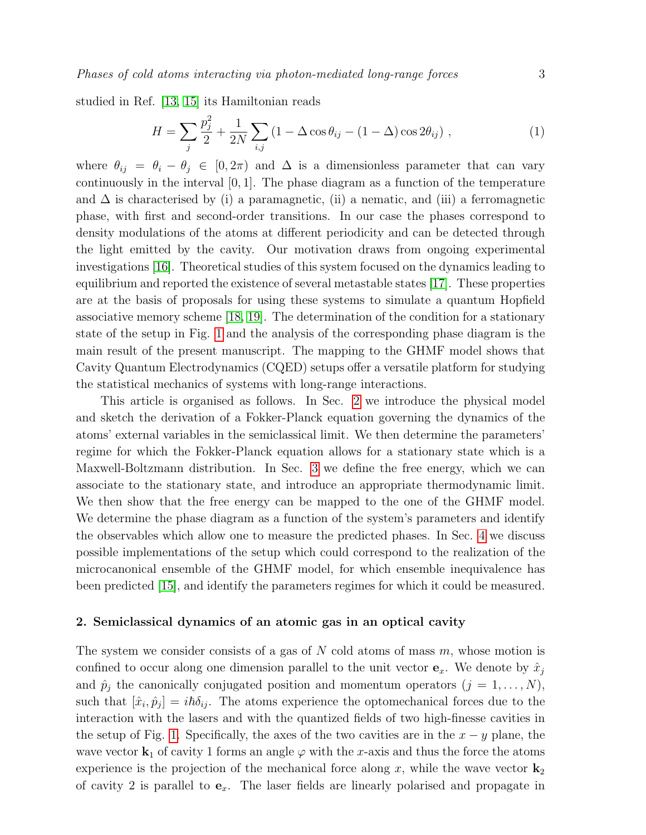studied in Ref. [\[13,](#page-11-12) [15\]](#page-11-14) its Hamiltonian reads

<span id="page-2-1"></span>
$$
H = \sum_{j} \frac{p_j^2}{2} + \frac{1}{2N} \sum_{i,j} (1 - \Delta \cos \theta_{ij} - (1 - \Delta) \cos 2\theta_{ij}), \qquad (1)
$$

where  $\theta_{ij} = \theta_i - \theta_j \in [0, 2\pi)$  and  $\Delta$  is a dimensionless parameter that can vary continuously in the interval  $[0, 1]$ . The phase diagram as a function of the temperature and  $\Delta$  is characterised by (i) a paramagnetic, (ii) a nematic, and (iii) a ferromagnetic phase, with first and second-order transitions. In our case the phases correspond to density modulations of the atoms at different periodicity and can be detected through the light emitted by the cavity. Our motivation draws from ongoing experimental investigations [\[16\]](#page-12-0). Theoretical studies of this system focused on the dynamics leading to equilibrium and reported the existence of several metastable states [\[17\]](#page-12-1). These properties are at the basis of proposals for using these systems to simulate a quantum Hopfield associative memory scheme [\[18,](#page-12-2) [19\]](#page-12-3). The determination of the condition for a stationary state of the setup in Fig. [1](#page-3-0) and the analysis of the corresponding phase diagram is the main result of the present manuscript. The mapping to the GHMF model shows that Cavity Quantum Electrodynamics (CQED) setups offer a versatile platform for studying the statistical mechanics of systems with long-range interactions.

This article is organised as follows. In Sec. [2](#page-2-0) we introduce the physical model and sketch the derivation of a Fokker-Planck equation governing the dynamics of the atoms' external variables in the semiclassical limit. We then determine the parameters' regime for which the Fokker-Planck equation allows for a stationary state which is a Maxwell-Boltzmann distribution. In Sec. [3](#page-7-0) we define the free energy, which we can associate to the stationary state, and introduce an appropriate thermodynamic limit. We then show that the free energy can be mapped to the one of the GHMF model. We determine the phase diagram as a function of the system's parameters and identify the observables which allow one to measure the predicted phases. In Sec. [4](#page-8-0) we discuss possible implementations of the setup which could correspond to the realization of the microcanonical ensemble of the GHMF model, for which ensemble inequivalence has been predicted [\[15\]](#page-11-14), and identify the parameters regimes for which it could be measured.

## <span id="page-2-0"></span>2. Semiclassical dynamics of an atomic gas in an optical cavity

The system we consider consists of a gas of  $N$  cold atoms of mass  $m$ , whose motion is confined to occur along one dimension parallel to the unit vector  $e_x$ . We denote by  $\hat{x}_i$ and  $\hat{p}_j$  the canonically conjugated position and momentum operators  $(j = 1, \ldots, N)$ , such that  $[\hat{x}_i, \hat{p}_j] = i\hbar \delta_{ij}$ . The atoms experience the optomechanical forces due to the interaction with the lasers and with the quantized fields of two high-finesse cavities in the setup of Fig. [1.](#page-3-0) Specifically, the axes of the two cavities are in the  $x - y$  plane, the wave vector  $\mathbf{k}_1$  of cavity 1 forms an angle  $\varphi$  with the x-axis and thus the force the atoms experience is the projection of the mechanical force along x, while the wave vector  $\mathbf{k}_2$ of cavity 2 is parallel to  $e_x$ . The laser fields are linearly polarised and propagate in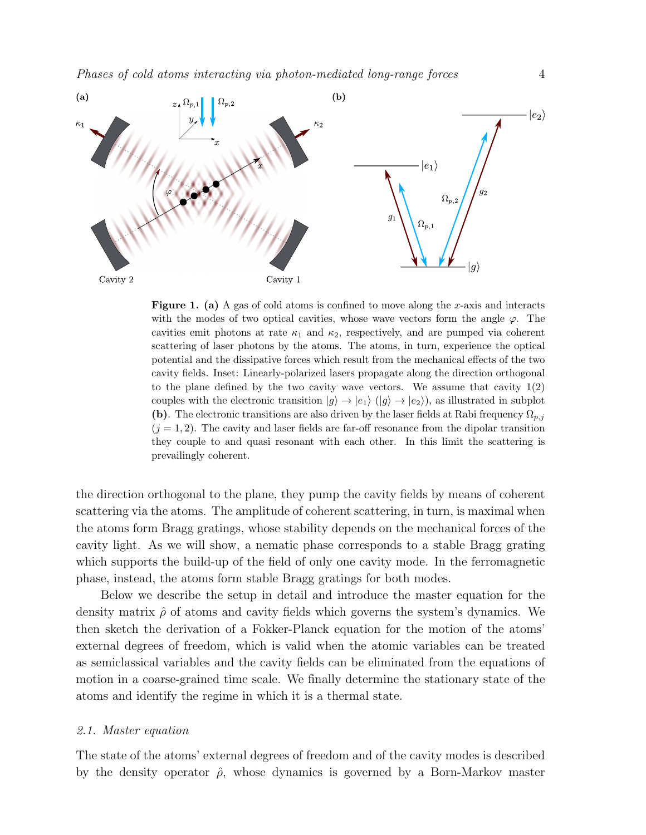

<span id="page-3-0"></span>**Figure 1.** (a) A gas of cold atoms is confined to move along the x-axis and interacts with the modes of two optical cavities, whose wave vectors form the angle  $\varphi$ . The cavities emit photons at rate  $\kappa_1$  and  $\kappa_2$ , respectively, and are pumped via coherent scattering of laser photons by the atoms. The atoms, in turn, experience the optical potential and the dissipative forces which result from the mechanical effects of the two cavity fields. Inset: Linearly-polarized lasers propagate along the direction orthogonal to the plane defined by the two cavity wave vectors. We assume that cavity 1(2) couples with the electronic transition  $|g\rangle \rightarrow |e_1\rangle$   $(|g\rangle \rightarrow |e_2\rangle)$ , as illustrated in subplot (b). The electronic transitions are also driven by the laser fields at Rabi frequency  $\Omega_{p,j}$  $(j = 1, 2)$ . The cavity and laser fields are far-off resonance from the dipolar transition they couple to and quasi resonant with each other. In this limit the scattering is prevailingly coherent.

the direction orthogonal to the plane, they pump the cavity fields by means of coherent scattering via the atoms. The amplitude of coherent scattering, in turn, is maximal when the atoms form Bragg gratings, whose stability depends on the mechanical forces of the cavity light. As we will show, a nematic phase corresponds to a stable Bragg grating which supports the build-up of the field of only one cavity mode. In the ferromagnetic phase, instead, the atoms form stable Bragg gratings for both modes.

Below we describe the setup in detail and introduce the master equation for the density matrix  $\hat{\rho}$  of atoms and cavity fields which governs the system's dynamics. We then sketch the derivation of a Fokker-Planck equation for the motion of the atoms' external degrees of freedom, which is valid when the atomic variables can be treated as semiclassical variables and the cavity fields can be eliminated from the equations of motion in a coarse-grained time scale. We finally determine the stationary state of the atoms and identify the regime in which it is a thermal state.

# 2.1. Master equation

The state of the atoms' external degrees of freedom and of the cavity modes is described by the density operator  $\hat{\rho}$ , whose dynamics is governed by a Born-Markov master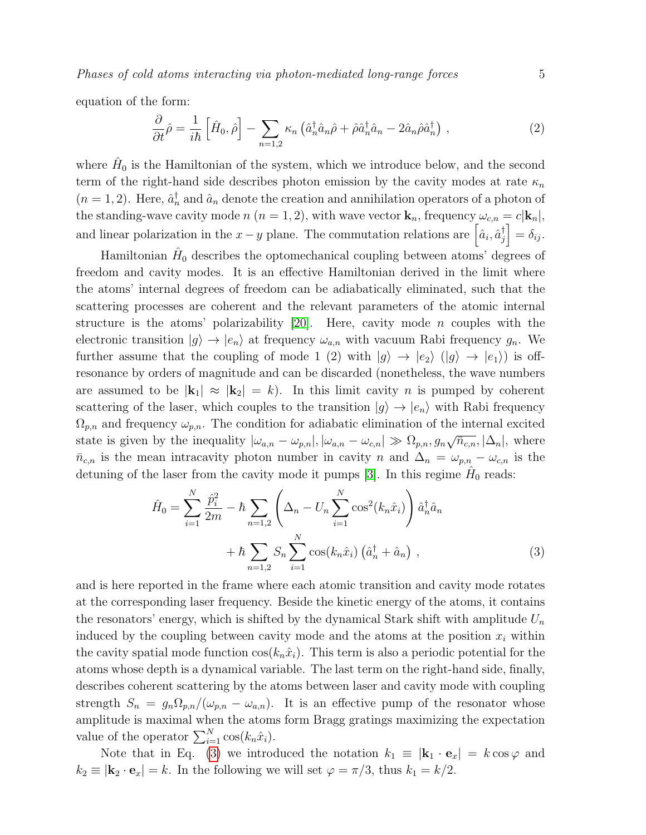Phases of cold atoms interacting via photon-mediated long-range forces 5

equation of the form:

$$
\frac{\partial}{\partial t}\hat{\rho} = \frac{1}{i\hbar} \left[ \hat{H}_0, \hat{\rho} \right] - \sum_{n=1,2} \kappa_n \left( \hat{a}_n^\dagger \hat{a}_n \hat{\rho} + \hat{\rho} \hat{a}_n^\dagger \hat{a}_n - 2 \hat{a}_n \hat{\rho} \hat{a}_n^\dagger \right) , \qquad (2)
$$

where  $\hat{H}_0$  is the Hamiltonian of the system, which we introduce below, and the second term of the right-hand side describes photon emission by the cavity modes at rate  $\kappa_n$  $(n = 1, 2)$ . Here,  $\hat{a}_n^{\dagger}$  and  $\hat{a}_n$  denote the creation and annihilation operators of a photon of the standing-wave cavity mode n (n = 1, 2), with wave vector  $\mathbf{k}_n$ , frequency  $\omega_{c,n} = c|\mathbf{k}_n|$ , and linear polarization in the  $x - y$  plane. The commutation relations are  $\left[\hat{a}_i, \hat{a}_j^{\dagger}\right]$  $\begin{aligned} \begin{bmatrix} \dagger \\ j \end{bmatrix} = \delta_{ij}. \end{aligned}$ 

Hamiltonian  $\hat{H}_0$  describes the optomechanical coupling between atoms' degrees of freedom and cavity modes. It is an effective Hamiltonian derived in the limit where the atoms' internal degrees of freedom can be adiabatically eliminated, such that the scattering processes are coherent and the relevant parameters of the atomic internal structure is the atoms' polarizability [\[20\]](#page-12-4). Here, cavity mode  $n$  couples with the electronic transition  $|g\rangle \rightarrow |e_n\rangle$  at frequency  $\omega_{a,n}$  with vacuum Rabi frequency  $g_n$ . We further assume that the coupling of mode 1 (2) with  $|g\rangle \rightarrow |e_2\rangle$  ( $|g\rangle \rightarrow |e_1\rangle$ ) is offresonance by orders of magnitude and can be discarded (nonetheless, the wave numbers are assumed to be  $|\mathbf{k}_1| \approx |\mathbf{k}_2| = k$ . In this limit cavity n is pumped by coherent scattering of the laser, which couples to the transition  $|g\rangle \rightarrow |e_n\rangle$  with Rabi frequency  $\Omega_{p,n}$  and frequency  $\omega_{p,n}$ . The condition for adiabatic elimination of the internal excited state is given by the inequality  $|\omega_{a,n} - \omega_{p,n}|, |\omega_{a,n} - \omega_{c,n}| \gg \Omega_{p,n}, g_n \sqrt{\bar{n}_{c,n}}, |\Delta_n|$ , where  $\bar{n}_{c,n}$  is the mean intracavity photon number in cavity n and  $\Delta_n = \omega_{p,n} - \omega_{c,n}$  is the detuning of the laser from the cavity mode it pumps [\[3\]](#page-11-2). In this regime  $\hat{H}_0$  reads:

<span id="page-4-0"></span>
$$
\hat{H}_0 = \sum_{i=1}^N \frac{\hat{p}_i^2}{2m} - \hbar \sum_{n=1,2} \left( \Delta_n - U_n \sum_{i=1}^N \cos^2(k_n \hat{x}_i) \right) \hat{a}_n^\dagger \hat{a}_n + \hbar \sum_{n=1,2} S_n \sum_{i=1}^N \cos(k_n \hat{x}_i) \left( \hat{a}_n^\dagger + \hat{a}_n \right) , \tag{3}
$$

and is here reported in the frame where each atomic transition and cavity mode rotates at the corresponding laser frequency. Beside the kinetic energy of the atoms, it contains the resonators' energy, which is shifted by the dynamical Stark shift with amplitude  $U_n$ induced by the coupling between cavity mode and the atoms at the position  $x_i$  within the cavity spatial mode function  $\cos(k_n\hat{x}_i)$ . This term is also a periodic potential for the atoms whose depth is a dynamical variable. The last term on the right-hand side, finally, describes coherent scattering by the atoms between laser and cavity mode with coupling strength  $S_n = g_n \Omega_{p,n}/(\omega_{p,n} - \omega_{a,n})$ . It is an effective pump of the resonator whose amplitude is maximal when the atoms form Bragg gratings maximizing the expectation value of the operator  $\sum_{i=1}^{N} \cos(k_n \hat{x}_i)$ .

Note that in Eq. [\(3\)](#page-4-0) we introduced the notation  $k_1 \equiv |\mathbf{k}_1 \cdot \mathbf{e}_x| = k \cos \varphi$  and  $k_2 \equiv |\mathbf{k}_2 \cdot \mathbf{e}_x| = k$ . In the following we will set  $\varphi = \pi/3$ , thus  $k_1 = k/2$ .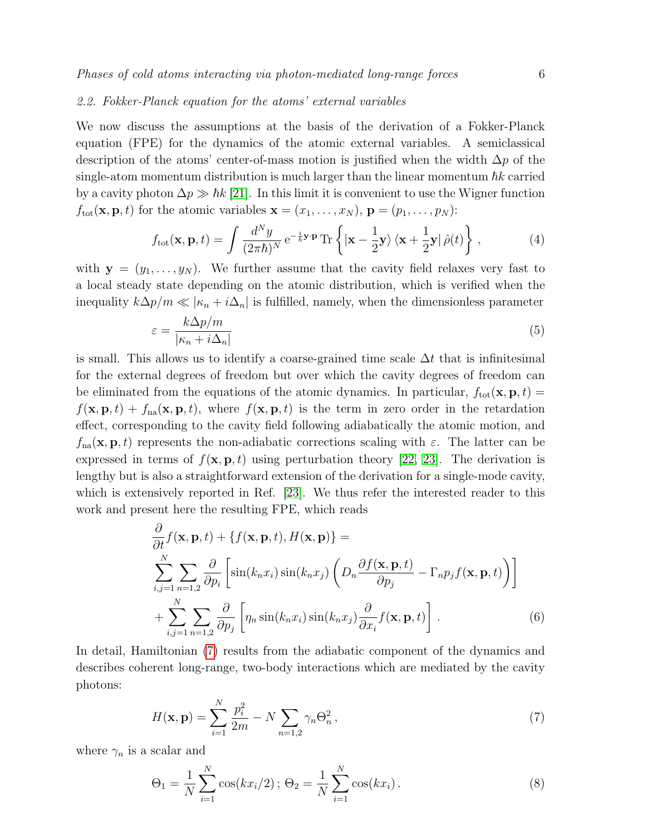## 2.2. Fokker-Planck equation for the atoms' external variables

We now discuss the assumptions at the basis of the derivation of a Fokker-Planck equation (FPE) for the dynamics of the atomic external variables. A semiclassical description of the atoms' center-of-mass motion is justified when the width  $\Delta p$  of the single-atom momentum distribution is much larger than the linear momentum  $\hbar k$  carried by a cavity photon  $\Delta p \gg \hbar k$  [\[21\]](#page-12-5). In this limit it is convenient to use the Wigner function  $f_{\text{tot}}(\mathbf{x}, \mathbf{p}, t)$  for the atomic variables  $\mathbf{x} = (x_1, \dots, x_N)$ ,  $\mathbf{p} = (p_1, \dots, p_N)$ :

$$
f_{\text{tot}}(\mathbf{x}, \mathbf{p}, t) = \int \frac{d^N y}{(2\pi\hbar)^N} e^{-\frac{i}{\hbar} \mathbf{y} \cdot \mathbf{p}} \text{Tr} \left\{ |\mathbf{x} - \frac{1}{2} \mathbf{y}\rangle \left\langle \mathbf{x} + \frac{1}{2} \mathbf{y} | \hat{\rho}(t) \right\} ,\tag{4}
$$

with  $y = (y_1, \ldots, y_N)$ . We further assume that the cavity field relaxes very fast to a local steady state depending on the atomic distribution, which is verified when the inequality  $k\Delta p/m \ll |\kappa_n + i\Delta_n|$  is fulfilled, namely, when the dimensionless parameter

<span id="page-5-2"></span>
$$
\varepsilon = \frac{k\Delta p/m}{|\kappa_n + i\Delta_n|} \tag{5}
$$

is small. This allows us to identify a coarse-grained time scale  $\Delta t$  that is infinitesimal for the external degrees of freedom but over which the cavity degrees of freedom can be eliminated from the equations of the atomic dynamics. In particular,  $f_{\text{tot}}(\mathbf{x}, \mathbf{p}, t) =$  $f(\mathbf{x}, \mathbf{p}, t) + f_{na}(\mathbf{x}, \mathbf{p}, t)$ , where  $f(\mathbf{x}, \mathbf{p}, t)$  is the term in zero order in the retardation effect, corresponding to the cavity field following adiabatically the atomic motion, and  $f_{na}(\mathbf{x}, \mathbf{p}, t)$  represents the non-adiabatic corrections scaling with  $\varepsilon$ . The latter can be expressed in terms of  $f(\mathbf{x}, \mathbf{p}, t)$  using perturbation theory [\[22,](#page-12-6) [23\]](#page-12-7). The derivation is lengthy but is also a straightforward extension of the derivation for a single-mode cavity, which is extensively reported in Ref. [\[23\]](#page-12-7). We thus refer the interested reader to this work and present here the resulting FPE, which reads

<span id="page-5-1"></span>
$$
\frac{\partial}{\partial t} f(\mathbf{x}, \mathbf{p}, t) + \{f(\mathbf{x}, \mathbf{p}, t), H(\mathbf{x}, \mathbf{p})\} =
$$
\n
$$
\sum_{i,j=1}^{N} \sum_{n=1,2} \frac{\partial}{\partial p_i} \left[ \sin(k_n x_i) \sin(k_n x_j) \left( D_n \frac{\partial f(\mathbf{x}, \mathbf{p}, t)}{\partial p_j} - \Gamma_n p_j f(\mathbf{x}, \mathbf{p}, t) \right) \right]
$$
\n
$$
+ \sum_{i,j=1}^{N} \sum_{n=1,2} \frac{\partial}{\partial p_j} \left[ \eta_n \sin(k_n x_i) \sin(k_n x_j) \frac{\partial}{\partial x_i} f(\mathbf{x}, \mathbf{p}, t) \right].
$$
\n(6)

In detail, Hamiltonian [\(7\)](#page-5-0) results from the adiabatic component of the dynamics and describes coherent long-range, two-body interactions which are mediated by the cavity photons:

<span id="page-5-0"></span>
$$
H(\mathbf{x}, \mathbf{p}) = \sum_{i=1}^{N} \frac{p_i^2}{2m} - N \sum_{n=1,2} \gamma_n \Theta_n^2, \qquad (7)
$$

where  $\gamma_n$  is a scalar and

$$
\Theta_1 = \frac{1}{N} \sum_{i=1}^{N} \cos(kx_i/2); \ \Theta_2 = \frac{1}{N} \sum_{i=1}^{N} \cos(kx_i).
$$
 (8)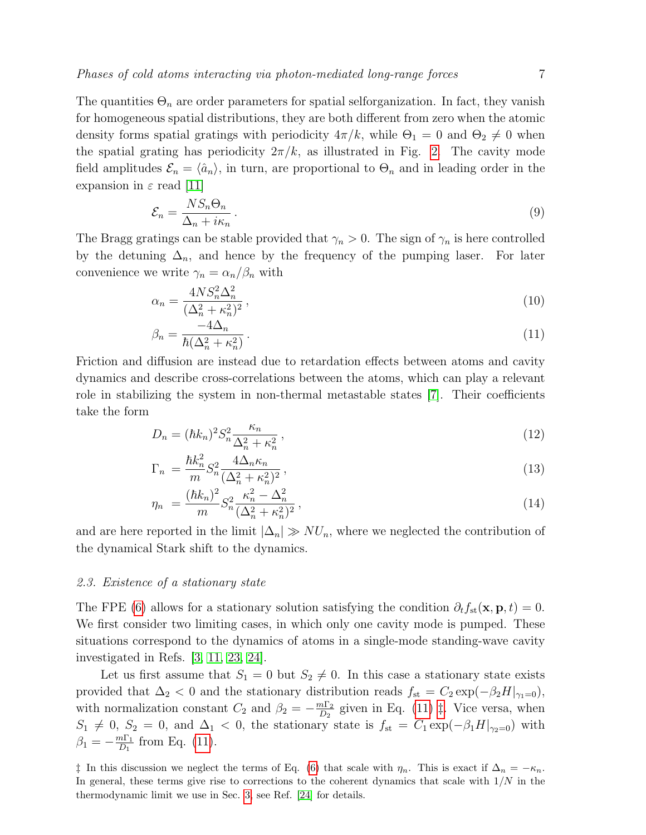The quantities  $\Theta_n$  are order parameters for spatial selforganization. In fact, they vanish for homogeneous spatial distributions, they are both different from zero when the atomic density forms spatial gratings with periodicity  $4\pi/k$ , while  $\Theta_1=0$  and  $\Theta_2\neq 0$  when the spatial grating has periodicity  $2\pi/k$ , as illustrated in Fig. [2.](#page-7-1) The cavity mode field amplitudes  $\mathcal{E}_n = \langle \hat{a}_n \rangle$ , in turn, are proportional to  $\Theta_n$  and in leading order in the expansion in  $\varepsilon$  read [\[11\]](#page-11-10)

<span id="page-6-2"></span>
$$
\mathcal{E}_n = \frac{NS_n \Theta_n}{\Delta_n + i\kappa_n} \,. \tag{9}
$$

The Bragg gratings can be stable provided that  $\gamma_n > 0$ . The sign of  $\gamma_n$  is here controlled by the detuning  $\Delta_n$ , and hence by the frequency of the pumping laser. For later convenience we write  $\gamma_n = \alpha_n/\beta_n$  with

<span id="page-6-0"></span>
$$
\alpha_n = \frac{4NS_n^2 \Delta_n^2}{(\Delta_n^2 + \kappa_n^2)^2},\tag{10}
$$

$$
\beta_n = \frac{-4\Delta_n}{\hbar(\Delta_n^2 + \kappa_n^2)}.
$$
\n(11)

Friction and diffusion are instead due to retardation effects between atoms and cavity dynamics and describe cross-correlations between the atoms, which can play a relevant role in stabilizing the system in non-thermal metastable states [\[7\]](#page-11-6). Their coefficients take the form

$$
D_n = (\hbar k_n)^2 S_n^2 \frac{\kappa_n}{\Delta_n^2 + \kappa_n^2},\tag{12}
$$

$$
\Gamma_n = \frac{\hbar k_n^2}{m} S_n^2 \frac{4\Delta_n \kappa_n}{(\Delta_n^2 + \kappa_n^2)^2},\tag{13}
$$

$$
\eta_n = \frac{(\hbar k_n)^2}{m} S_n^2 \frac{\kappa_n^2 - \Delta_n^2}{(\Delta_n^2 + \kappa_n^2)^2},\tag{14}
$$

and are here reported in the limit  $|\Delta_n| \gg NU_n$ , where we neglected the contribution of the dynamical Stark shift to the dynamics.

## 2.3. Existence of a stationary state

The FPE [\(6\)](#page-5-1) allows for a stationary solution satisfying the condition  $\partial_t f_{st}(\mathbf{x}, \mathbf{p}, t) = 0$ . We first consider two limiting cases, in which only one cavity mode is pumped. These situations correspond to the dynamics of atoms in a single-mode standing-wave cavity investigated in Refs. [\[3,](#page-11-2) [11,](#page-11-10) [23,](#page-12-7) [24\]](#page-12-8).

Let us first assume that  $S_1 = 0$  but  $S_2 \neq 0$ . In this case a stationary state exists provided that  $\Delta_2$  < 0 and the stationary distribution reads  $f_{\rm st} = C_2 \exp(-\beta_2 H|_{\gamma_1=0}),$ with normalization constant  $C_2$  and  $\beta_2 = -\frac{m\Gamma_2}{D_2}$  $\frac{n_1 \cdot n_2}{D_2}$  given in Eq. [\(11\)](#page-6-0)  $\ddagger$ . Vice versa, when  $S_1 \neq 0$ ,  $S_2 = 0$ , and  $\Delta_1 < 0$ , the stationary state is  $f_{\rm st} = C_1 \exp(-\beta_1 H|_{\gamma_2=0})$  with  $\beta_1 = -\frac{m\Gamma_1}{D_1}$  $\frac{n\Gamma_1}{D_1}$  from Eq. [\(11\)](#page-6-0).

<span id="page-6-1"></span> $\ddagger$  In this discussion we neglect the terms of Eq. [\(6\)](#page-5-1) that scale with  $η_n$ . This is exact if  $Δ_n = −κ_n$ . In general, these terms give rise to corrections to the coherent dynamics that scale with  $1/N$  in the thermodynamic limit we use in Sec. [3,](#page-7-0) see Ref. [\[24\]](#page-12-8) for details.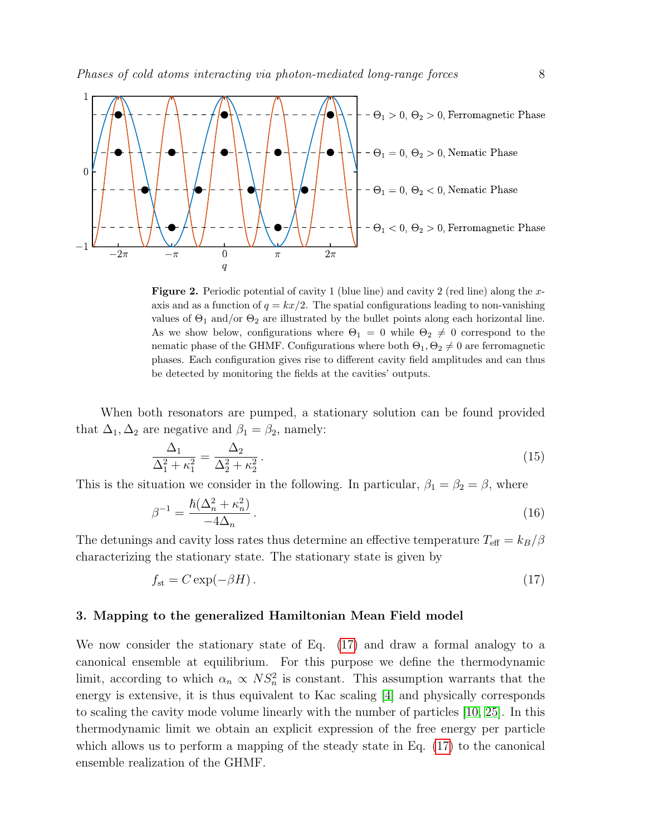

<span id="page-7-1"></span>**Figure 2.** Periodic potential of cavity 1 (blue line) and cavity 2 (red line) along the xaxis and as a function of  $q = kx/2$ . The spatial configurations leading to non-vanishing values of  $\Theta_1$  and/or  $\Theta_2$  are illustrated by the bullet points along each horizontal line. As we show below, configurations where  $\Theta_1=0$  while  $\Theta_2\neq 0$  correspond to the nematic phase of the GHMF. Configurations where both  $\Theta_1, \Theta_2 \neq 0$  are ferromagnetic phases. Each configuration gives rise to different cavity field amplitudes and can thus be detected by monitoring the fields at the cavities' outputs.

When both resonators are pumped, a stationary solution can be found provided that  $\Delta_1, \Delta_2$  are negative and  $\beta_1 = \beta_2$ , namely:

<span id="page-7-3"></span>
$$
\frac{\Delta_1}{\Delta_1^2 + \kappa_1^2} = \frac{\Delta_2}{\Delta_2^2 + \kappa_2^2}.
$$
\n(15)

This is the situation we consider in the following. In particular,  $\beta_1 = \beta_2 = \beta$ , where

$$
\beta^{-1} = \frac{\hbar(\Delta_n^2 + \kappa_n^2)}{-4\Delta_n} \,. \tag{16}
$$

The detunings and cavity loss rates thus determine an effective temperature  $T_{\text{eff}} = k_B/\beta$ characterizing the stationary state. The stationary state is given by

<span id="page-7-2"></span>
$$
f_{\rm st} = C \exp(-\beta H). \tag{17}
$$

## <span id="page-7-0"></span>3. Mapping to the generalized Hamiltonian Mean Field model

We now consider the stationary state of Eq. [\(17\)](#page-7-2) and draw a formal analogy to a canonical ensemble at equilibrium. For this purpose we define the thermodynamic limit, according to which  $\alpha_n \propto NS_n^2$  is constant. This assumption warrants that the energy is extensive, it is thus equivalent to Kac scaling [\[4\]](#page-11-3) and physically corresponds to scaling the cavity mode volume linearly with the number of particles [\[10,](#page-11-9) [25\]](#page-12-9). In this thermodynamic limit we obtain an explicit expression of the free energy per particle which allows us to perform a mapping of the steady state in Eq. [\(17\)](#page-7-2) to the canonical ensemble realization of the GHMF.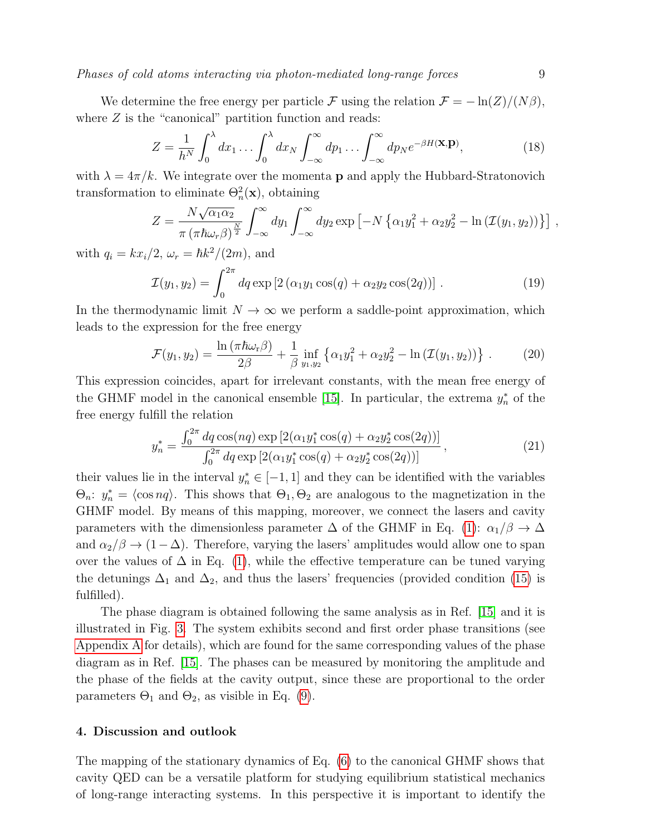Phases of cold atoms interacting via photon-mediated long-range forces 9

We determine the free energy per particle F using the relation  $\mathcal{F} = -\ln(Z)/(N\beta)$ , where  $Z$  is the "canonical" partition function and reads:

$$
Z = \frac{1}{h^N} \int_0^\lambda dx_1 \dots \int_0^\lambda dx_N \int_{-\infty}^\infty dp_1 \dots \int_{-\infty}^\infty dp_N e^{-\beta H(\mathbf{X}, \mathbf{p})},\tag{18}
$$

with  $\lambda = 4\pi/k$ . We integrate over the momenta **p** and apply the Hubbard-Stratonovich transformation to eliminate  $\Theta_n^2(\mathbf{x})$ , obtaining

$$
Z = \frac{N\sqrt{\alpha_1\alpha_2}}{\pi (\pi\hbar\omega_r\beta)^{\frac{N}{2}}} \int_{-\infty}^{\infty} dy_1 \int_{-\infty}^{\infty} dy_2 \exp\left[-N\left\{\alpha_1y_1^2 + \alpha_2y_2^2 - \ln\left(\mathcal{I}(y_1, y_2)\right)\right\}\right],
$$

with  $q_i = kx_i/2$ ,  $\omega_r = \hbar k^2/(2m)$ , and

$$
\mathcal{I}(y_1, y_2) = \int_0^{2\pi} dq \exp [2 (\alpha_1 y_1 \cos(q) + \alpha_2 y_2 \cos(2q))]. \tag{19}
$$

In the thermodynamic limit  $N \to \infty$  we perform a saddle-point approximation, which leads to the expression for the free energy

<span id="page-8-1"></span>
$$
\mathcal{F}(y_1, y_2) = \frac{\ln(\pi \hbar \omega_r \beta)}{2\beta} + \frac{1}{\beta} \inf_{y_1, y_2} \left\{ \alpha_1 y_1^2 + \alpha_2 y_2^2 - \ln(\mathcal{I}(y_1, y_2)) \right\}.
$$
 (20)

This expression coincides, apart for irrelevant constants, with the mean free energy of the GHMF model in the canonical ensemble [\[15\]](#page-11-14). In particular, the extrema  $y_n^*$  of the free energy fulfill the relation

<span id="page-8-2"></span>
$$
y_n^* = \frac{\int_0^{2\pi} dq \cos(nq) \exp\left[2(\alpha_1 y_1^* \cos(q) + \alpha_2 y_2^* \cos(2q))\right]}{\int_0^{2\pi} dq \exp\left[2(\alpha_1 y_1^* \cos(q) + \alpha_2 y_2^* \cos(2q))\right]},
$$
\n(21)

their values lie in the interval  $y_n^* \in [-1, 1]$  and they can be identified with the variables  $\Theta_n: y_n^* = \langle \cos nq \rangle$ . This shows that  $\Theta_1, \Theta_2$  are analogous to the magnetization in the GHMF model. By means of this mapping, moreover, we connect the lasers and cavity parameters with the dimensionless parameter  $\Delta$  of the GHMF in Eq. [\(1\)](#page-2-1):  $\alpha_1/\beta \to \Delta$ and  $\alpha_2/\beta \to (1-\Delta)$ . Therefore, varying the lasers' amplitudes would allow one to span over the values of  $\Delta$  in Eq. [\(1\)](#page-2-1), while the effective temperature can be tuned varying the detunings  $\Delta_1$  and  $\Delta_2$ , and thus the lasers' frequencies (provided condition [\(15\)](#page-7-3) is fulfilled).

The phase diagram is obtained following the same analysis as in Ref. [\[15\]](#page-11-14) and it is illustrated in Fig. [3.](#page-9-0) The system exhibits second and first order phase transitions (see [Appendix A](#page-10-0) for details), which are found for the same corresponding values of the phase diagram as in Ref. [\[15\]](#page-11-14). The phases can be measured by monitoring the amplitude and the phase of the fields at the cavity output, since these are proportional to the order parameters  $\Theta_1$  and  $\Theta_2$ , as visible in Eq. [\(9\)](#page-6-2).

### <span id="page-8-0"></span>4. Discussion and outlook

The mapping of the stationary dynamics of Eq. [\(6\)](#page-5-1) to the canonical GHMF shows that cavity QED can be a versatile platform for studying equilibrium statistical mechanics of long-range interacting systems. In this perspective it is important to identify the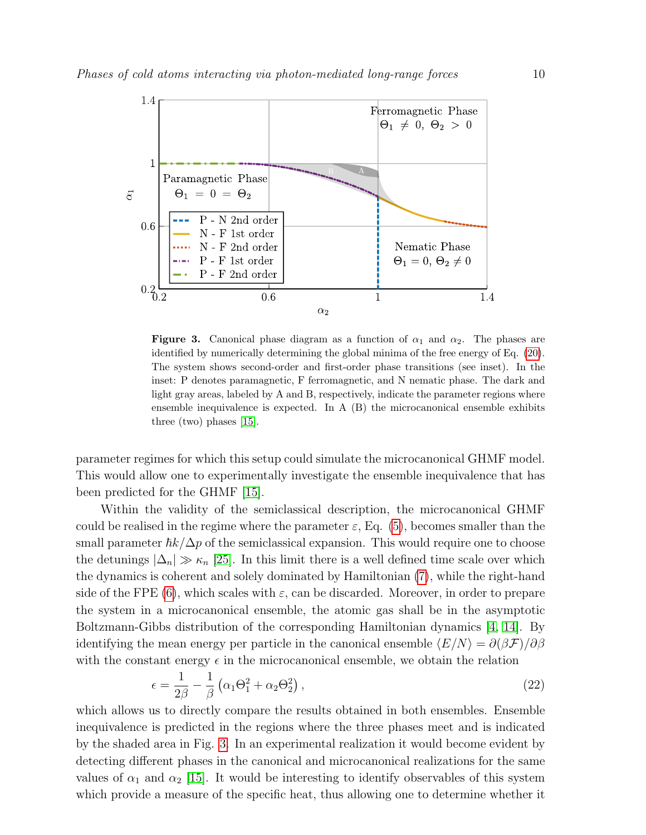

<span id="page-9-0"></span>**Figure 3.** Canonical phase diagram as a function of  $\alpha_1$  and  $\alpha_2$ . The phases are identified by numerically determining the global minima of the free energy of Eq. [\(20\)](#page-8-1). The system shows second-order and first-order phase transitions (see inset). In the inset: P denotes paramagnetic, F ferromagnetic, and N nematic phase. The dark and light gray areas, labeled by A and B, respectively, indicate the parameter regions where ensemble inequivalence is expected. In A (B) the microcanonical ensemble exhibits three (two) phases [\[15\]](#page-11-14).

parameter regimes for which this setup could simulate the microcanonical GHMF model. This would allow one to experimentally investigate the ensemble inequivalence that has been predicted for the GHMF [\[15\]](#page-11-14).

Within the validity of the semiclassical description, the microcanonical GHMF could be realised in the regime where the parameter  $\varepsilon$ , Eq. [\(5\)](#page-5-2), becomes smaller than the small parameter  $\hbar k/\Delta p$  of the semiclassical expansion. This would require one to choose the detunings  $|\Delta_n| \gg \kappa_n$  [\[25\]](#page-12-9). In this limit there is a well defined time scale over which the dynamics is coherent and solely dominated by Hamiltonian [\(7\)](#page-5-0), while the right-hand side of the FPE [\(6\)](#page-5-1), which scales with  $\varepsilon$ , can be discarded. Moreover, in order to prepare the system in a microcanonical ensemble, the atomic gas shall be in the asymptotic Boltzmann-Gibbs distribution of the corresponding Hamiltonian dynamics [\[4,](#page-11-3) [14\]](#page-11-13). By identifying the mean energy per particle in the canonical ensemble  $\langle E/N \rangle = \partial(\beta \mathcal{F})/\partial \beta$ with the constant energy  $\epsilon$  in the microcanonical ensemble, we obtain the relation

$$
\epsilon = \frac{1}{2\beta} - \frac{1}{\beta} \left( \alpha_1 \Theta_1^2 + \alpha_2 \Theta_2^2 \right),\tag{22}
$$

which allows us to directly compare the results obtained in both ensembles. Ensemble inequivalence is predicted in the regions where the three phases meet and is indicated by the shaded area in Fig. [3.](#page-9-0) In an experimental realization it would become evident by detecting different phases in the canonical and microcanonical realizations for the same values of  $\alpha_1$  and  $\alpha_2$  [\[15\]](#page-11-14). It would be interesting to identify observables of this system which provide a measure of the specific heat, thus allowing one to determine whether it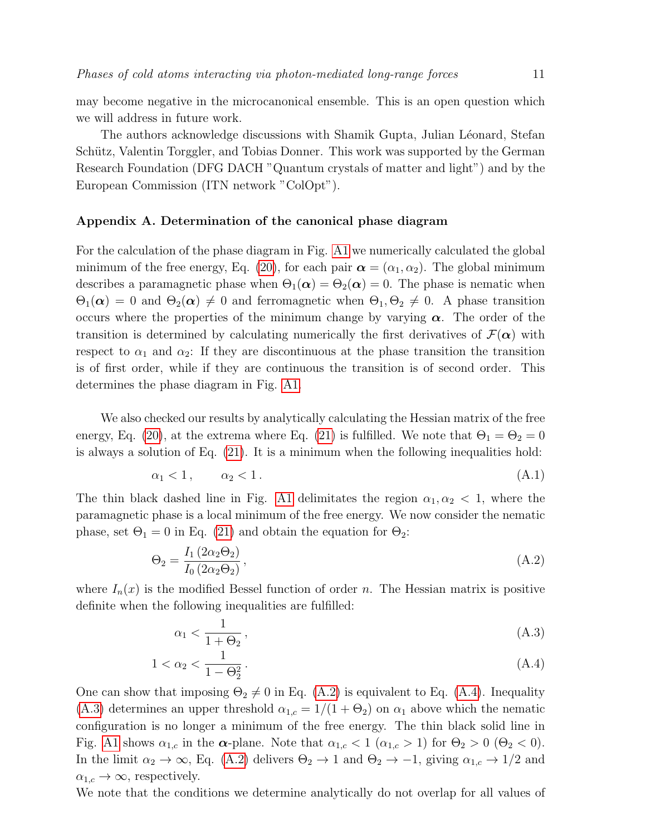may become negative in the microcanonical ensemble. This is an open question which we will address in future work.

The authors acknowledge discussions with Shamik Gupta, Julian Léonard, Stefan Schütz, Valentin Torggler, and Tobias Donner. This work was supported by the German Research Foundation (DFG DACH "Quantum crystals of matter and light") and by the European Commission (ITN network "ColOpt").

## <span id="page-10-0"></span>Appendix A. Determination of the canonical phase diagram

For the calculation of the phase diagram in Fig. [A1](#page-11-15) we numerically calculated the global minimum of the free energy, Eq. [\(20\)](#page-8-1), for each pair  $\alpha = (\alpha_1, \alpha_2)$ . The global minimum describes a paramagnetic phase when  $\Theta_1(\alpha) = \Theta_2(\alpha) = 0$ . The phase is nematic when  $\Theta_1(\alpha) = 0$  and  $\Theta_2(\alpha) \neq 0$  and ferromagnetic when  $\Theta_1, \Theta_2 \neq 0$ . A phase transition occurs where the properties of the minimum change by varying  $\alpha$ . The order of the transition is determined by calculating numerically the first derivatives of  $\mathcal{F}(\alpha)$  with respect to  $\alpha_1$  and  $\alpha_2$ : If they are discontinuous at the phase transition the transition is of first order, while if they are continuous the transition is of second order. This determines the phase diagram in Fig. [A1.](#page-11-15)

We also checked our results by analytically calculating the Hessian matrix of the free energy, Eq. [\(20\)](#page-8-1), at the extrema where Eq. [\(21\)](#page-8-2) is fulfilled. We note that  $\Theta_1 = \Theta_2 = 0$ is always a solution of Eq. [\(21\)](#page-8-2). It is a minimum when the following inequalities hold:

<span id="page-10-3"></span>
$$
\alpha_1 < 1, \qquad \alpha_2 < 1. \tag{A.1}
$$

The thin black dashed line in Fig. [A1](#page-11-15) delimitates the region  $\alpha_1, \alpha_2 < 1$ , where the paramagnetic phase is a local minimum of the free energy. We now consider the nematic phase, set  $\Theta_1 = 0$  in Eq. [\(21\)](#page-8-2) and obtain the equation for  $\Theta_2$ :

<span id="page-10-1"></span>
$$
\Theta_2 = \frac{I_1(2\alpha_2 \Theta_2)}{I_0(2\alpha_2 \Theta_2)},\tag{A.2}
$$

where  $I_n(x)$  is the modified Bessel function of order n. The Hessian matrix is positive definite when the following inequalities are fulfilled:

<span id="page-10-2"></span>
$$
\alpha_1 < \frac{1}{1 + \Theta_2},\tag{A.3}
$$

$$
1 < \alpha_2 < \frac{1}{1 - \Theta_2^2} \tag{A.4}
$$

One can show that imposing  $\Theta_2 \neq 0$  in Eq. [\(A.2\)](#page-10-1) is equivalent to Eq. [\(A.4\)](#page-10-2). Inequality [\(A.3\)](#page-10-2) determines an upper threshold  $\alpha_{1,c} = 1/(1 + \Theta_2)$  on  $\alpha_1$  above which the nematic configuration is no longer a minimum of the free energy. The thin black solid line in Fig. [A1](#page-11-15) shows  $\alpha_{1,c}$  in the  $\alpha$ -plane. Note that  $\alpha_{1,c} < 1$  ( $\alpha_{1,c} > 1$ ) for  $\Theta_2 > 0$  ( $\Theta_2 < 0$ ). In the limit  $\alpha_2 \to \infty$ , Eq. [\(A.2\)](#page-10-1) delivers  $\Theta_2 \to 1$  and  $\Theta_2 \to -1$ , giving  $\alpha_{1,c} \to 1/2$  and  $\alpha_{1,c} \rightarrow \infty$ , respectively.

We note that the conditions we determine analytically do not overlap for all values of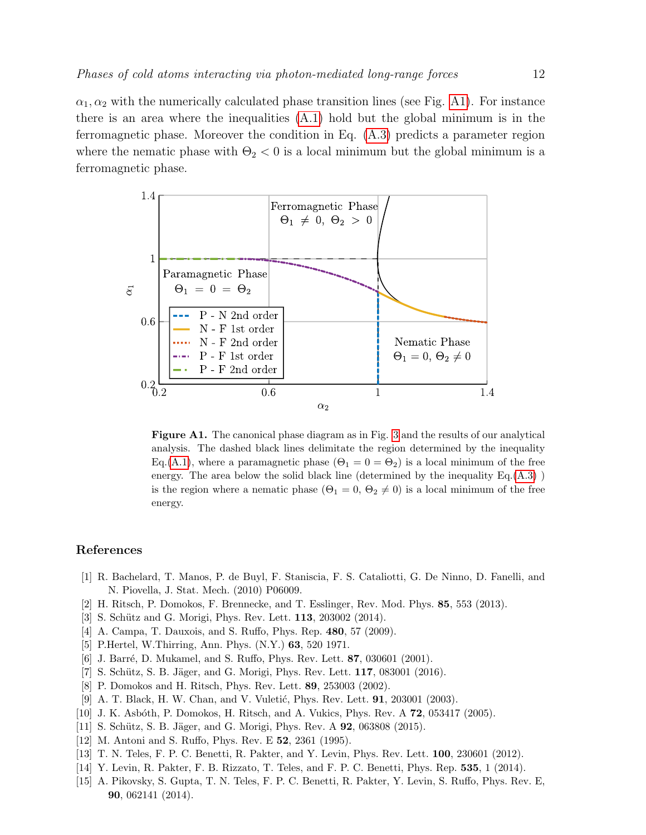$\alpha_1, \alpha_2$  with the numerically calculated phase transition lines (see Fig. [A1\)](#page-11-15). For instance there is an area where the inequalities  $(A.1)$  hold but the global minimum is in the ferromagnetic phase. Moreover the condition in Eq. [\(A.3\)](#page-10-2) predicts a parameter region where the nematic phase with  $\Theta_2 < 0$  is a local minimum but the global minimum is a ferromagnetic phase.



<span id="page-11-15"></span>Figure A1. The canonical phase diagram as in Fig. [3](#page-9-0) and the results of our analytical analysis. The dashed black lines delimitate the region determined by the inequality Eq.[\(A.1\)](#page-10-3), where a paramagnetic phase  $(\Theta_1 = 0 = \Theta_2)$  is a local minimum of the free energy. The area below the solid black line (determined by the inequality  $Eq.(A.3)$  $Eq.(A.3)$ ) is the region where a nematic phase  $(\Theta_1 = 0, \Theta_2 \neq 0)$  is a local minimum of the free energy.

# References

- <span id="page-11-0"></span>[1] R. Bachelard, T. Manos, P. de Buyl, F. Staniscia, F. S. Cataliotti, G. De Ninno, D. Fanelli, and N. Piovella, J. Stat. Mech. (2010) P06009.
- <span id="page-11-1"></span>[2] H. Ritsch, P. Domokos, F. Brennecke, and T. Esslinger, Rev. Mod. Phys. 85, 553 (2013).
- <span id="page-11-2"></span>[3] S. Schütz and G. Morigi, Phys. Rev. Lett. **113**, 203002 (2014).
- <span id="page-11-3"></span>[4] A. Campa, T. Dauxois, and S. Ruffo, Phys. Rep. 480, 57 (2009).
- <span id="page-11-4"></span>[5] P.Hertel, W.Thirring, Ann. Phys. (N.Y.) 63, 520 1971.
- <span id="page-11-5"></span>[6] J. Barré, D. Mukamel, and S. Ruffo, Phys. Rev. Lett. 87, 030601 (2001).
- <span id="page-11-6"></span>[7] S. Schütz, S. B. Jäger, and G. Morigi, Phys. Rev. Lett. 117, 083001 (2016).
- <span id="page-11-7"></span>[8] P. Domokos and H. Ritsch, Phys. Rev. Lett. 89, 253003 (2002).
- <span id="page-11-8"></span>[9] A. T. Black, H. W. Chan, and V. Vuletić, Phys. Rev. Lett. **91**, 203001 (2003).
- <span id="page-11-9"></span>[10] J. K. Asbóth, P. Domokos, H. Ritsch, and A. Vukics, Phys. Rev. A 72, 053417 (2005).
- <span id="page-11-10"></span>[11] S. Schütz, S. B. Jäger, and G. Morigi, Phys. Rev. A **92**, 063808 (2015).
- <span id="page-11-11"></span>[12] M. Antoni and S. Ruffo, Phys. Rev. E 52, 2361 (1995).
- <span id="page-11-12"></span>[13] T. N. Teles, F. P. C. Benetti, R. Pakter, and Y. Levin, Phys. Rev. Lett. 100, 230601 (2012).
- <span id="page-11-13"></span>[14] Y. Levin, R. Pakter, F. B. Rizzato, T. Teles, and F. P. C. Benetti, Phys. Rep. 535, 1 (2014).
- <span id="page-11-14"></span>[15] A. Pikovsky, S. Gupta, T. N. Teles, F. P. C. Benetti, R. Pakter, Y. Levin, S. Ruffo, Phys. Rev. E, 90, 062141 (2014).